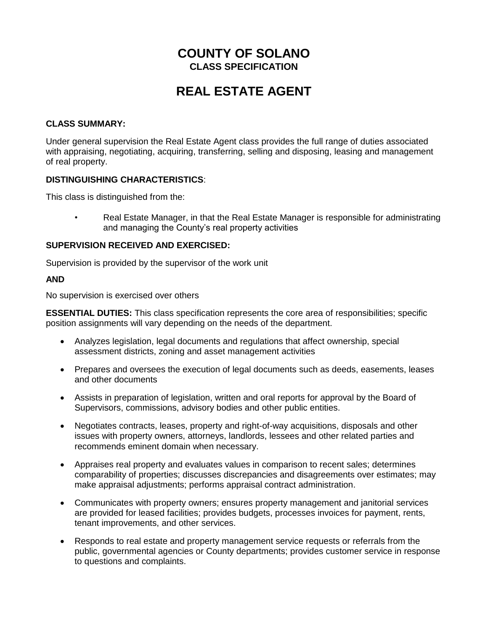# **COUNTY OF SOLANO CLASS SPECIFICATION**

# **REAL ESTATE AGENT**

#### **CLASS SUMMARY:**

Under general supervision the Real Estate Agent class provides the full range of duties associated with appraising, negotiating, acquiring, transferring, selling and disposing, leasing and management of real property.

#### **DISTINGUISHING CHARACTERISTICS**:

This class is distinguished from the:

• Real Estate Manager, in that the Real Estate Manager is responsible for administrating and managing the County's real property activities

#### **SUPERVISION RECEIVED AND EXERCISED:**

Supervision is provided by the supervisor of the work unit

#### **AND**

No supervision is exercised over others

**ESSENTIAL DUTIES:** This class specification represents the core area of responsibilities; specific position assignments will vary depending on the needs of the department.

- Analyzes legislation, legal documents and regulations that affect ownership, special assessment districts, zoning and asset management activities
- Prepares and oversees the execution of legal documents such as deeds, easements, leases and other documents
- Assists in preparation of legislation, written and oral reports for approval by the Board of Supervisors, commissions, advisory bodies and other public entities.
- Negotiates contracts, leases, property and right-of-way acquisitions, disposals and other issues with property owners, attorneys, landlords, lessees and other related parties and recommends eminent domain when necessary.
- Appraises real property and evaluates values in comparison to recent sales; determines comparability of properties; discusses discrepancies and disagreements over estimates; may make appraisal adjustments; performs appraisal contract administration.
- Communicates with property owners; ensures property management and janitorial services are provided for leased facilities; provides budgets, processes invoices for payment, rents, tenant improvements, and other services.
- Responds to real estate and property management service requests or referrals from the public, governmental agencies or County departments; provides customer service in response to questions and complaints.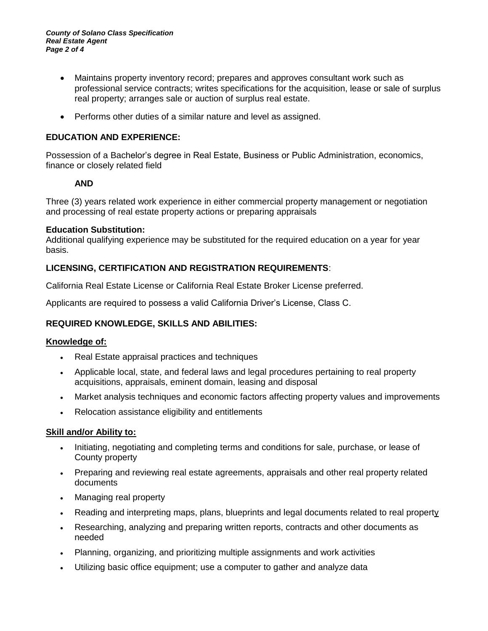- Maintains property inventory record; prepares and approves consultant work such as professional service contracts; writes specifications for the acquisition, lease or sale of surplus real property; arranges sale or auction of surplus real estate.
- Performs other duties of a similar nature and level as assigned.

# **EDUCATION AND EXPERIENCE:**

Possession of a Bachelor's degree in Real Estate, Business or Public Administration, economics, finance or closely related field

### **AND**

Three (3) years related work experience in either commercial property management or negotiation and processing of real estate property actions or preparing appraisals

### **Education Substitution:**

Additional qualifying experience may be substituted for the required education on a year for year basis.

### **LICENSING, CERTIFICATION AND REGISTRATION REQUIREMENTS**:

California Real Estate License or California Real Estate Broker License preferred.

Applicants are required to possess a valid California Driver's License, Class C.

### **REQUIRED KNOWLEDGE, SKILLS AND ABILITIES:**

### **Knowledge of:**

- Real Estate appraisal practices and techniques
- Applicable local, state, and federal laws and legal procedures pertaining to real property acquisitions, appraisals, eminent domain, leasing and disposal
- Market analysis techniques and economic factors affecting property values and improvements
- Relocation assistance eligibility and entitlements

### **Skill and/or Ability to:**

- Initiating, negotiating and completing terms and conditions for sale, purchase, or lease of County property
- Preparing and reviewing real estate agreements, appraisals and other real property related documents
- Managing real property
- Reading and interpreting maps, plans, blueprints and legal documents related to real property
- Researching, analyzing and preparing written reports, contracts and other documents as needed
- Planning, organizing, and prioritizing multiple assignments and work activities
- Utilizing basic office equipment; use a computer to gather and analyze data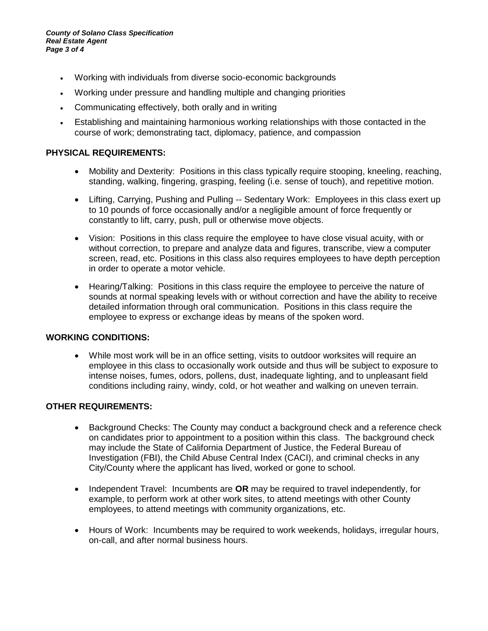- Working with individuals from diverse socio-economic backgrounds
- Working under pressure and handling multiple and changing priorities
- Communicating effectively, both orally and in writing
- Establishing and maintaining harmonious working relationships with those contacted in the course of work; demonstrating tact, diplomacy, patience, and compassion

# **PHYSICAL REQUIREMENTS:**

- Mobility and Dexterity: Positions in this class typically require stooping, kneeling, reaching, standing, walking, fingering, grasping, feeling (i.e. sense of touch), and repetitive motion.
- Lifting, Carrying, Pushing and Pulling -- Sedentary Work: Employees in this class exert up to 10 pounds of force occasionally and/or a negligible amount of force frequently or constantly to lift, carry, push, pull or otherwise move objects.
- Vision: Positions in this class require the employee to have close visual acuity, with or without correction, to prepare and analyze data and figures, transcribe, view a computer screen, read, etc. Positions in this class also requires employees to have depth perception in order to operate a motor vehicle.
- Hearing/Talking: Positions in this class require the employee to perceive the nature of sounds at normal speaking levels with or without correction and have the ability to receive detailed information through oral communication. Positions in this class require the employee to express or exchange ideas by means of the spoken word.

### **WORKING CONDITIONS:**

• While most work will be in an office setting, visits to outdoor worksites will require an employee in this class to occasionally work outside and thus will be subject to exposure to intense noises, fumes, odors, pollens, dust, inadequate lighting, and to unpleasant field conditions including rainy, windy, cold, or hot weather and walking on uneven terrain.

### **OTHER REQUIREMENTS:**

- Background Checks: The County may conduct a background check and a reference check on candidates prior to appointment to a position within this class. The background check may include the State of California Department of Justice, the Federal Bureau of Investigation (FBI), the Child Abuse Central Index (CACI), and criminal checks in any City/County where the applicant has lived, worked or gone to school.
- Independent Travel: Incumbents are **OR** may be required to travel independently, for example, to perform work at other work sites, to attend meetings with other County employees, to attend meetings with community organizations, etc.
- Hours of Work: Incumbents may be required to work weekends, holidays, irregular hours, on-call, and after normal business hours.